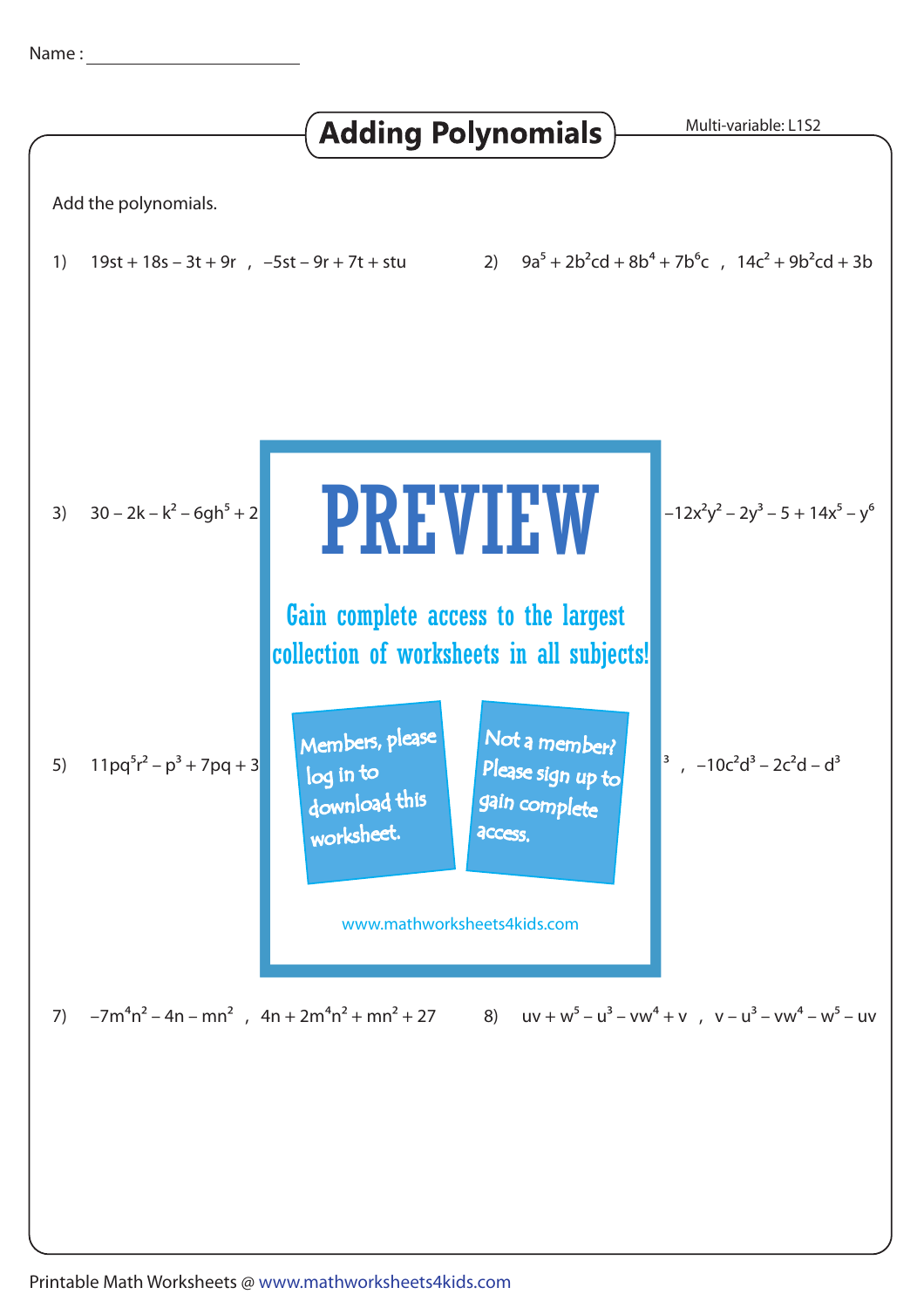